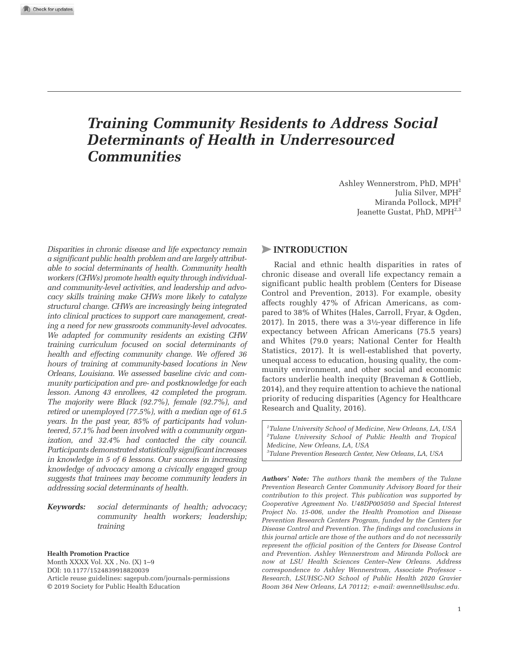# *Training Community Residents to Address Social Determinants of Health in Underresourced Communities*

Ashley Wennerstrom, PhD, MPH<sup>1</sup> Julia Silver, MPH<sup>2</sup> Miranda Pollock, MPH<sup>2</sup> Jeanette Gustat, PhD, MPH<sup>2,3</sup>

*Disparities in chronic disease and life expectancy remain a significant public health problem and are largely attributable to social determinants of health. Community health workers (CHWs) promote health equity through individualand community-level activities, and leadership and advocacy skills training make CHWs more likely to catalyze structural change. CHWs are increasingly being integrated into clinical practices to support care management, creating a need for new grassroots community-level advocates. We adapted for community residents an existing CHW training curriculum focused on social determinants of health and effecting community change. We offered 36 hours of training at community-based locations in New Orleans, Louisiana. We assessed baseline civic and community participation and pre- and postknowledge for each lesson. Among 43 enrollees, 42 completed the program. The majority were Black (92.7%), female (92.7%), and retired or unemployed (77.5%), with a median age of 61.5 years. In the past year, 85% of participants had volunteered, 57.1% had been involved with a community organization, and 32.4% had contacted the city council. Participants demonstrated statistically significant increases in knowledge in 5 of 6 lessons. Our success in increasing knowledge of advocacy among a civically engaged group suggests that trainees may become community leaders in addressing social determinants of health.*

*Keywords: social determinants of health; advocacy; community health workers; leadership; training*

**Health Promotion Practice**

Month XXXX Vol. XX, No. (X) 1-9 DOI: 10.1177/1524839918820039 Article reuse guidelines: sagepub.com/journals-permissions © 2019 Society for Public Health Education

#### >**INTRODUCTION**

Racial and ethnic health disparities in rates of chronic disease and overall life expectancy remain a significant public health problem (Centers for Disease Control and Prevention, 2013). For example, obesity affects roughly 47% of African Americans, as compared to 38% of Whites (Hales, Carroll, Fryar, & Ogden, 2017). In 2015, there was a 3½-year difference in life expectancy between African Americans (75.5 years) and Whites (79.0 years; National Center for Health Statistics, 2017). It is well-established that poverty, unequal access to education, housing quality, the community environment, and other social and economic factors underlie health inequity (Braveman & Gottlieb, 2014), and they require attention to achieve the national priority of reducing disparities (Agency for Healthcare Research and Quality, 2016).

*Tulane University School of Medicine, New Orleans, LA, USA Tulane University School of Public Health and Tropical Medicine, New Orleans, LA, USA Tulane Prevention Research Center, New Orleans, LA, USA*

*Authors' Note: The authors thank the members of the Tulane Prevention Research Center Community Advisory Board for their contribution to this project. This publication was supported by Cooperative Agreement No. U48DP005050 and Special Interest Project No. 15-006, under the Health Promotion and Disease Prevention Research Centers Program, funded by the Centers for Disease Control and Prevention. The findings and conclusions in this journal article are those of the authors and do not necessarily represent the official position of the Centers for Disease Control and Prevention. Ashley Wennerstrom and Miranda Pollock are now at LSU Health Sciences Center–New Orleans. Address correspondence to Ashley Wennerstrom, Associate Professor - Research, LSUHSC-NO School of Public Health 2020 Gravier Room 364 New Orleans, LA 70112; e-mail: awenne@lsuhsc.edu.*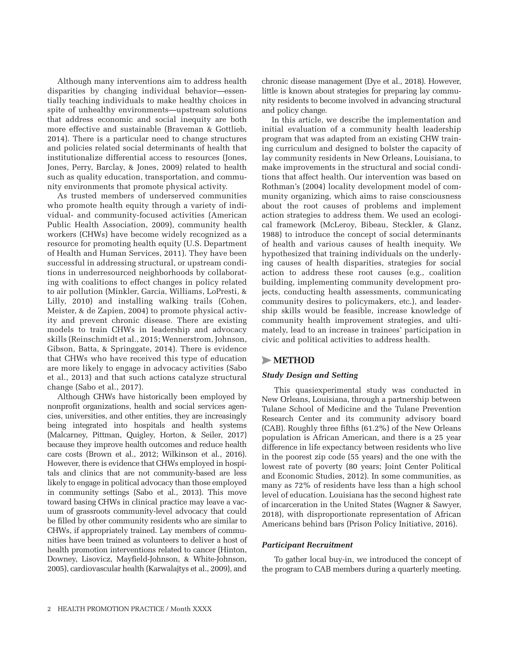Although many interventions aim to address health disparities by changing individual behavior—essentially teaching individuals to make healthy choices in spite of unhealthy environments—upstream solutions that address economic and social inequity are both more effective and sustainable (Braveman & Gottlieb, 2014). There is a particular need to change structures and policies related social determinants of health that institutionalize differential access to resources (Jones, Jones, Perry, Barclay, & Jones, 2009) related to health such as quality education, transportation, and community environments that promote physical activity.

As trusted members of underserved communities who promote health equity through a variety of individual- and community-focused activities (American Public Health Association, 2009), community health workers (CHWs) have become widely recognized as a resource for promoting health equity (U.S. Department of Health and Human Services, 2011). They have been successful in addressing structural, or upstream conditions in underresourced neighborhoods by collaborating with coalitions to effect changes in policy related to air pollution (Minkler, Garcia, Williams, LoPresti, & Lilly, 2010) and installing walking trails (Cohen, Meister, & de Zapien, 2004) to promote physical activity and prevent chronic disease. There are existing models to train CHWs in leadership and advocacy skills (Reinschmidt et al., 2015; Wennerstrom, Johnson, Gibson, Batta, & Springgate, 2014). There is evidence that CHWs who have received this type of education are more likely to engage in advocacy activities (Sabo et al., 2013) and that such actions catalyze structural change (Sabo et al., 2017).

Although CHWs have historically been employed by nonprofit organizations, health and social services agencies, universities, and other entities, they are increasingly being integrated into hospitals and health systems (Malcarney, Pittman, Quigley, Horton, & Seiler, 2017) because they improve health outcomes and reduce health care costs (Brown et al., 2012; Wilkinson et al., 2016). However, there is evidence that CHWs employed in hospitals and clinics that are not community-based are less likely to engage in political advocacy than those employed in community settings (Sabo et al., 2013). This move toward basing CHWs in clinical practice may leave a vacuum of grassroots community-level advocacy that could be filled by other community residents who are similar to CHWs, if appropriately trained. Lay members of communities have been trained as volunteers to deliver a host of health promotion interventions related to cancer (Hinton, Downey, Lisovicz, Mayfield-Johnson, & White-Johnson, 2005), cardiovascular health (Karwalajtys et al., 2009), and

chronic disease management (Dye et al., 2018). However, little is known about strategies for preparing lay community residents to become involved in advancing structural and policy change.

In this article, we describe the implementation and initial evaluation of a community health leadership program that was adapted from an existing CHW training curriculum and designed to bolster the capacity of lay community residents in New Orleans, Louisiana, to make improvements in the structural and social conditions that affect health. Our intervention was based on Rothman's (2004) locality development model of community organizing, which aims to raise consciousness about the root causes of problems and implement action strategies to address them. We used an ecological framework (McLeroy, Bibeau, Steckler, & Glanz, 1988) to introduce the concept of social determinants of health and various causes of health inequity. We hypothesized that training individuals on the underlying causes of health disparities, strategies for social action to address these root causes (e.g., coalition building, implementing community development projects, conducting health assessments, communicating community desires to policymakers, etc.), and leadership skills would be feasible, increase knowledge of community health improvement strategies, and ultimately, lead to an increase in trainees' participation in civic and political activities to address health.

# >**METHOD**

## *Study Design and Setting*

This quasiexperimental study was conducted in New Orleans, Louisiana, through a partnership between Tulane School of Medicine and the Tulane Prevention Research Center and its community advisory board (CAB). Roughly three fifths (61.2%) of the New Orleans population is African American, and there is a 25 year difference in life expectancy between residents who live in the poorest zip code (55 years) and the one with the lowest rate of poverty (80 years; Joint Center Political and Economic Studies, 2012). In some communities, as many as 72% of residents have less than a high school level of education. Louisiana has the second highest rate of incarceration in the United States (Wagner & Sawyer, 2018), with disproportionate representation of African Americans behind bars (Prison Policy Initiative, 2016).

#### *Participant Recruitment*

To gather local buy-in, we introduced the concept of the program to CAB members during a quarterly meeting.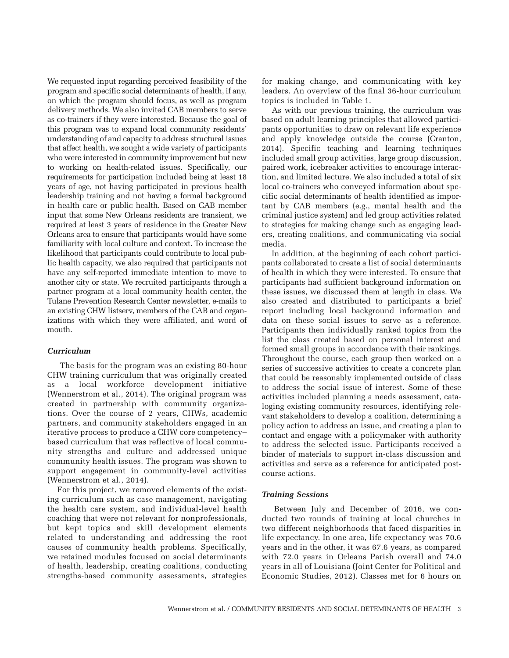We requested input regarding perceived feasibility of the program and specific social determinants of health, if any, on which the program should focus, as well as program delivery methods. We also invited CAB members to serve as co-trainers if they were interested. Because the goal of this program was to expand local community residents' understanding of and capacity to address structural issues that affect health, we sought a wide variety of participants who were interested in community improvement but new to working on health-related issues. Specifically, our requirements for participation included being at least 18 years of age, not having participated in previous health leadership training and not having a formal background in health care or public health. Based on CAB member input that some New Orleans residents are transient, we required at least 3 years of residence in the Greater New Orleans area to ensure that participants would have some familiarity with local culture and context. To increase the likelihood that participants could contribute to local public health capacity, we also required that participants not have any self-reported immediate intention to move to another city or state. We recruited participants through a partner program at a local community health center, the Tulane Prevention Research Center newsletter, e-mails to an existing CHW listserv, members of the CAB and organizations with which they were affiliated, and word of mouth.

### *Curriculum*

The basis for the program was an existing 80-hour CHW training curriculum that was originally created as a local workforce development initiative (Wennerstrom et al., 2014). The original program was created in partnership with community organizations. Over the course of 2 years, CHWs, academic partners, and community stakeholders engaged in an iterative process to produce a CHW core competency– based curriculum that was reflective of local community strengths and culture and addressed unique community health issues. The program was shown to support engagement in community-level activities (Wennerstrom et al., 2014).

For this project, we removed elements of the existing curriculum such as case management, navigating the health care system, and individual-level health coaching that were not relevant for nonprofessionals, but kept topics and skill development elements related to understanding and addressing the root causes of community health problems. Specifically, we retained modules focused on social determinants of health, leadership, creating coalitions, conducting strengths-based community assessments, strategies

for making change, and communicating with key leaders. An overview of the final 36-hour curriculum topics is included in Table 1.

As with our previous training, the curriculum was based on adult learning principles that allowed participants opportunities to draw on relevant life experience and apply knowledge outside the course (Cranton, 2014). Specific teaching and learning techniques included small group activities, large group discussion, paired work, icebreaker activities to encourage interaction, and limited lecture. We also included a total of six local co-trainers who conveyed information about specific social determinants of health identified as important by CAB members (e.g., mental health and the criminal justice system) and led group activities related to strategies for making change such as engaging leaders, creating coalitions, and communicating via social media.

In addition, at the beginning of each cohort participants collaborated to create a list of social determinants of health in which they were interested. To ensure that participants had sufficient background information on these issues, we discussed them at length in class. We also created and distributed to participants a brief report including local background information and data on these social issues to serve as a reference. Participants then individually ranked topics from the list the class created based on personal interest and formed small groups in accordance with their rankings. Throughout the course, each group then worked on a series of successive activities to create a concrete plan that could be reasonably implemented outside of class to address the social issue of interest. Some of these activities included planning a needs assessment, cataloging existing community resources, identifying relevant stakeholders to develop a coalition, determining a policy action to address an issue, and creating a plan to contact and engage with a policymaker with authority to address the selected issue. Participants received a binder of materials to support in-class discussion and activities and serve as a reference for anticipated postcourse actions.

#### *Training Sessions*

Between July and December of 2016, we conducted two rounds of training at local churches in two different neighborhoods that faced disparities in life expectancy. In one area, life expectancy was 70.6 years and in the other, it was 67.6 years, as compared with 72.0 years in Orleans Parish overall and 74.0 years in all of Louisiana (Joint Center for Political and Economic Studies, 2012). Classes met for 6 hours on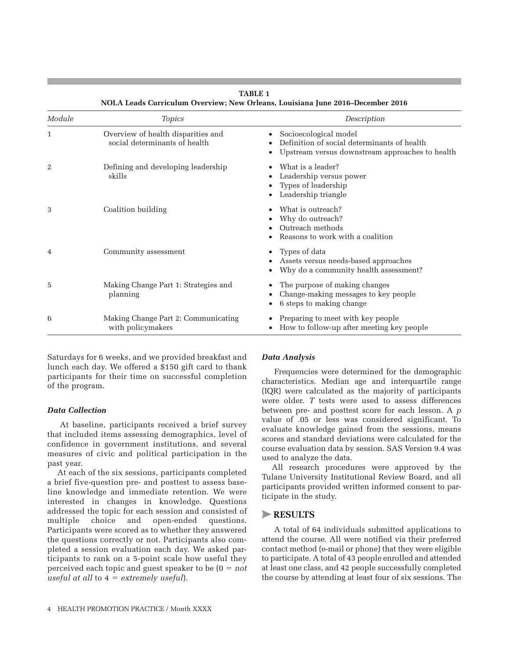| Module | <b>Topics</b>                                                       | Description                                                                                                             |  |
|--------|---------------------------------------------------------------------|-------------------------------------------------------------------------------------------------------------------------|--|
| 1      | Overview of health disparities and<br>social determinants of health | Socioecological model<br>Definition of social determinants of health<br>Upstream versus downstream approaches to health |  |
| 2      | Defining and developing leadership<br>skills                        | What is a leader?<br>Leadership versus power<br>Types of leadership<br>Leadership triangle                              |  |
| 3      | Coalition building                                                  | What is outreach?<br>Why do outreach?<br>Outreach methods<br>Reasons to work with a coalition                           |  |
| 4      | Community assessment                                                | Types of data<br>Assets versus needs-based approaches<br>Why do a community health assessment?                          |  |
| 5      | Making Change Part 1: Strategies and<br>planning                    | The purpose of making changes<br>Change-making messages to key people<br>6 steps to making change                       |  |
| 6      | Making Change Part 2: Communicating<br>with policymakers            | Preparing to meet with key people<br>How to follow-up after meeting key people                                          |  |

**TABLE 1 NOLA Leads Curriculum Overview; New Orleans, Louisiana June 2016–December 2016**

Saturdays for 6 weeks, and we provided breakfast and lunch each day. We offered a \$150 gift card to thank participants for their time on successful completion of the program.

#### *Data Collection*

At baseline, participants received a brief survey that included items assessing demographics, level of confidence in government institutions, and several measures of civic and political participation in the past year.

At each of the six sessions, participants completed a brief five-question pre- and posttest to assess baseline knowledge and immediate retention. We were interested in changes in knowledge. Questions addressed the topic for each session and consisted of multiple choice and open-ended questions. Participants were scored as to whether they answered the questions correctly or not. Participants also completed a session evaluation each day. We asked participants to rank on a 5-point scale how useful they perceived each topic and guest speaker to be (0 = *not useful at all* to 4 = *extremely useful*).

#### *Data Analysis*

Frequencies were determined for the demographic characteristics. Median age and interquartile range (IQR) were calculated as the majority of participants were older. *T* tests were used to assess differences between pre- and posttest score for each lesson. A *p* value of .05 or less was considered significant. To evaluate knowledge gained from the sessions, means scores and standard deviations were calculated for the course evaluation data by session. SAS Version 9.4 was used to analyze the data.

All research procedures were approved by the Tulane University Institutional Review Board, and all participants provided written informed consent to participate in the study.

#### >**RESULTS**

A total of 64 individuals submitted applications to attend the course. All were notified via their preferred contact method (e-mail or phone) that they were eligible to participate. A total of 43 people enrolled and attended at least one class, and 42 people successfully completed the course by attending at least four of six sessions. The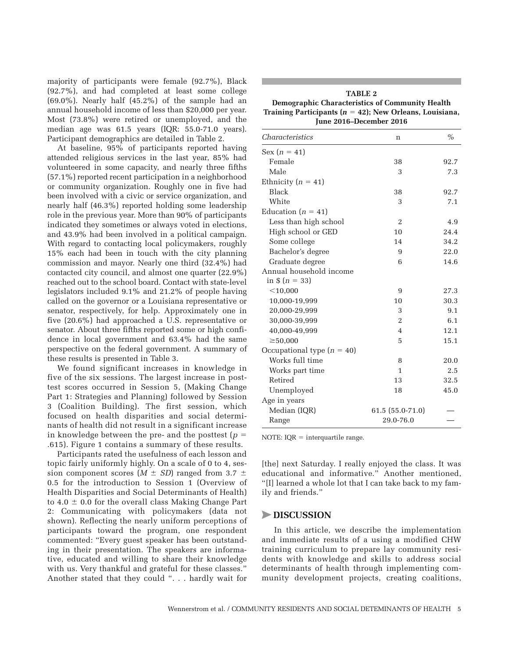majority of participants were female (92.7%), Black (92.7%), and had completed at least some college (69.0%). Nearly half (45.2%) of the sample had an annual household income of less than \$20,000 per year. Most (73.8%) were retired or unemployed, and the median age was 61.5 years (IQR: 55.0-71.0 years). Participant demographics are detailed in Table 2.

At baseline, 95% of participants reported having attended religious services in the last year, 85% had volunteered in some capacity, and nearly three fifths (57.1%) reported recent participation in a neighborhood or community organization. Roughly one in five had been involved with a civic or service organization, and nearly half (46.3%) reported holding some leadership role in the previous year. More than 90% of participants indicated they sometimes or always voted in elections, and 43.9% had been involved in a political campaign. With regard to contacting local policymakers, roughly 15% each had been in touch with the city planning commission and mayor. Nearly one third (32.4%) had contacted city council, and almost one quarter (22.9%) reached out to the school board. Contact with state-level legislators included 9.1% and 21.2% of people having called on the governor or a Louisiana representative or senator, respectively, for help. Approximately one in five (20.6%) had approached a U.S. representative or senator. About three fifths reported some or high confidence in local government and 63.4% had the same perspective on the federal government. A summary of these results is presented in Table 3.

We found significant increases in knowledge in five of the six sessions. The largest increase in posttest scores occurred in Session 5, (Making Change Part 1: Strategies and Planning) followed by Session 3 (Coalition Building). The first session, which focused on health disparities and social determinants of health did not result in a significant increase in knowledge between the pre- and the posttest  $(p =$ .615). Figure 1 contains a summary of these results.

Participants rated the usefulness of each lesson and topic fairly uniformly highly. On a scale of 0 to 4, session component scores  $(M \pm SD)$  ranged from 3.7  $\pm$ 0.5 for the introduction to Session 1 (Overview of Health Disparities and Social Determinants of Health) to 4.0  $\pm$  0.0 for the overall class Making Change Part 2: Communicating with policymakers (data not shown). Reflecting the nearly uniform perceptions of participants toward the program, one respondent commented: "Every guest speaker has been outstanding in their presentation. The speakers are informative, educated and willing to share their knowledge with us. Very thankful and grateful for these classes." Another stated that they could ". . . hardly wait for

| <b>TABLE 2</b>                                              |  |  |
|-------------------------------------------------------------|--|--|
| Demographic Characteristics of Community Health             |  |  |
| Training Participants ( $n = 42$ ); New Orleans, Louisiana, |  |  |
| June 2016–December 2016                                     |  |  |

| <i>Characteristics</i>       | n                | $\%$ |
|------------------------------|------------------|------|
| $Sex(n = 41)$                |                  |      |
| Female                       | 38               | 92.7 |
| Male                         | 3                | 7.3  |
| Ethnicity ( $n = 41$ )       |                  |      |
| <b>Black</b>                 | 38               | 92.7 |
| White                        | 3                | 7.1  |
| Education ( $n = 41$ )       |                  |      |
| Less than high school        | 2                | 4.9  |
| High school or GED           | 10               | 24.4 |
| Some college                 | 14               | 34.2 |
| Bachelor's degree            | 9                | 22.0 |
| Graduate degree              | 6                | 14.6 |
| Annual household income      |                  |      |
| in $$ (n = 33)$              |                  |      |
| $<$ 10,000                   | 9                | 27.3 |
| 10,000-19,999                | 10               | 30.3 |
| 20,000-29,999                | 3                | 9.1  |
| 30,000-39,999                | 2                | 6.1  |
| 40,000-49,999                | $\overline{4}$   | 12.1 |
| $\geq 50,000$                | 5                | 15.1 |
| Occupational type $(n = 40)$ |                  |      |
| Works full time              | 8                | 20.0 |
| Works part time              | 1                | 2.5  |
| Retired                      | 13               | 32.5 |
| Unemployed                   | 18               | 45.0 |
| Age in years                 |                  |      |
| Median (IQR)                 | 61.5 (55.0-71.0) |      |
| Range                        | 29.0-76.0        |      |

NOTE: IQR = interquartile range.

[the] next Saturday. I really enjoyed the class. It was educational and informative." Another mentioned, "[I] learned a whole lot that I can take back to my family and friends."

#### >**DISCUSSION**

In this article, we describe the implementation and immediate results of a using a modified CHW training curriculum to prepare lay community residents with knowledge and skills to address social determinants of health through implementing community development projects, creating coalitions,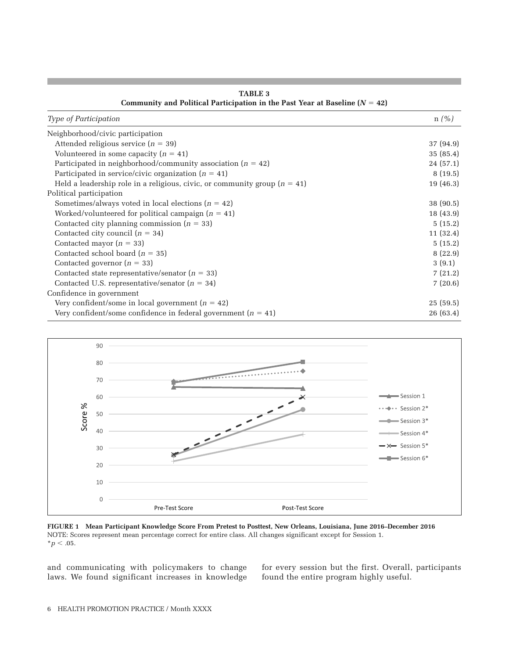| Type of Participation                                                       | $n(\%)$   |
|-----------------------------------------------------------------------------|-----------|
| Neighborhood/civic participation                                            |           |
| Attended religious service $(n = 39)$                                       | 37 (94.9) |
| Volunteered in some capacity $(n = 41)$                                     | 35(85.4)  |
| Participated in neighborhood/community association ( $n = 42$ )             | 24(57.1)  |
| Participated in service/civic organization $(n = 41)$                       | 8(19.5)   |
| Held a leadership role in a religious, civic, or community group $(n = 41)$ | 19(46.3)  |
| Political participation                                                     |           |
| Sometimes/always voted in local elections ( $n = 42$ )                      | 38 (90.5) |
| Worked/volunteered for political campaign $(n = 41)$                        | 18(43.9)  |
| Contacted city planning commission ( $n = 33$ )                             | 5(15.2)   |
| Contacted city council $(n = 34)$                                           | 11(32.4)  |
| Contacted mayor $(n = 33)$                                                  | 5(15.2)   |
| Contacted school board ( $n = 35$ )                                         | 8(22.9)   |
| Contacted governor $(n = 33)$                                               | 3(9.1)    |
| Contacted state representative/senator ( $n = 33$ )                         | 7(21.2)   |
| Contacted U.S. representative/senator $(n = 34)$                            | 7(20.6)   |
| Confidence in government                                                    |           |
| Very confident/some in local government ( $n = 42$ )                        | 25(59.5)  |
| Very confident/some confidence in federal government ( $n = 41$ )           | 26 (63.4) |

**TABLE 3 Community and Political Participation in the Past Year at Baseline (***N* = **42)**



**FIGURE 1 Mean Participant Knowledge Score From Pretest to Posttest, New Orleans, Louisiana, June 2016–December 2016** NOTE: Scores represent mean percentage correct for entire class. All changes significant except for Session 1.  $*$ *p*  $< .05$ .

and communicating with policymakers to change laws. We found significant increases in knowledge for every session but the first. Overall, participants found the entire program highly useful.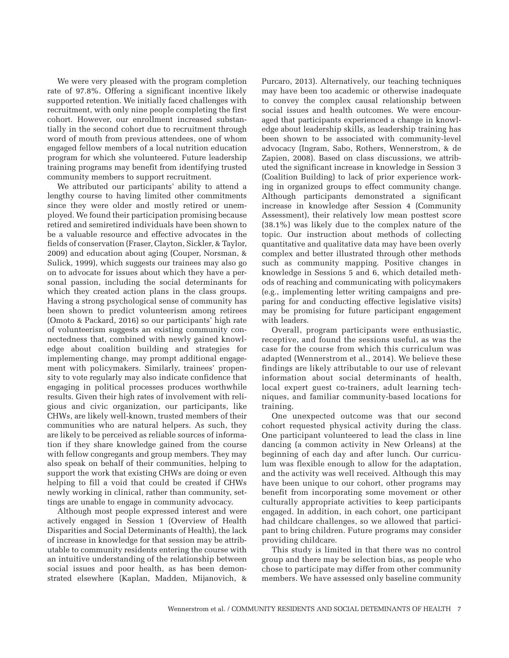We were very pleased with the program completion rate of 97.8%. Offering a significant incentive likely supported retention. We initially faced challenges with recruitment, with only nine people completing the first cohort. However, our enrollment increased substantially in the second cohort due to recruitment through word of mouth from previous attendees, one of whom engaged fellow members of a local nutrition education program for which she volunteered. Future leadership training programs may benefit from identifying trusted community members to support recruitment.

We attributed our participants' ability to attend a lengthy course to having limited other commitments since they were older and mostly retired or unemployed. We found their participation promising because retired and semiretired individuals have been shown to be a valuable resource and effective advocates in the fields of conservation (Fraser, Clayton, Sickler, & Taylor, 2009) and education about aging (Couper, Norsman, & Sulick, 1999), which suggests our trainees may also go on to advocate for issues about which they have a personal passion, including the social determinants for which they created action plans in the class groups. Having a strong psychological sense of community has been shown to predict volunteerism among retirees (Omoto & Packard, 2016) so our participants' high rate of volunteerism suggests an existing community connectedness that, combined with newly gained knowledge about coalition building and strategies for implementing change, may prompt additional engagement with policymakers. Similarly, trainees' propensity to vote regularly may also indicate confidence that engaging in political processes produces worthwhile results. Given their high rates of involvement with religious and civic organization, our participants, like CHWs, are likely well-known, trusted members of their communities who are natural helpers. As such, they are likely to be perceived as reliable sources of information if they share knowledge gained from the course with fellow congregants and group members. They may also speak on behalf of their communities, helping to support the work that existing CHWs are doing or even helping to fill a void that could be created if CHWs newly working in clinical, rather than community, settings are unable to engage in community advocacy.

Although most people expressed interest and were actively engaged in Session 1 (Overview of Health Disparities and Social Determinants of Health), the lack of increase in knowledge for that session may be attributable to community residents entering the course with an intuitive understanding of the relationship between social issues and poor health, as has been demonstrated elsewhere (Kaplan, Madden, Mijanovich, & Purcaro, 2013). Alternatively, our teaching techniques may have been too academic or otherwise inadequate to convey the complex causal relationship between social issues and health outcomes. We were encouraged that participants experienced a change in knowledge about leadership skills, as leadership training has been shown to be associated with community-level advocacy (Ingram, Sabo, Rothers, Wennerstrom, & de Zapien, 2008). Based on class discussions, we attributed the significant increase in knowledge in Session 3 (Coalition Building) to lack of prior experience working in organized groups to effect community change. Although participants demonstrated a significant increase in knowledge after Session 4 (Community Assessment), their relatively low mean posttest score (38.1%) was likely due to the complex nature of the topic. Our instruction about methods of collecting quantitative and qualitative data may have been overly complex and better illustrated through other methods such as community mapping. Positive changes in knowledge in Sessions 5 and 6, which detailed methods of reaching and communicating with policymakers (e.g., implementing letter writing campaigns and preparing for and conducting effective legislative visits) may be promising for future participant engagement with leaders.

Overall, program participants were enthusiastic, receptive, and found the sessions useful, as was the case for the course from which this curriculum was adapted (Wennerstrom et al., 2014). We believe these findings are likely attributable to our use of relevant information about social determinants of health, local expert guest co-trainers, adult learning techniques, and familiar community-based locations for training.

One unexpected outcome was that our second cohort requested physical activity during the class. One participant volunteered to lead the class in line dancing (a common activity in New Orleans) at the beginning of each day and after lunch. Our curriculum was flexible enough to allow for the adaptation, and the activity was well received. Although this may have been unique to our cohort, other programs may benefit from incorporating some movement or other culturally appropriate activities to keep participants engaged. In addition, in each cohort, one participant had childcare challenges, so we allowed that participant to bring children. Future programs may consider providing childcare.

This study is limited in that there was no control group and there may be selection bias, as people who chose to participate may differ from other community members. We have assessed only baseline community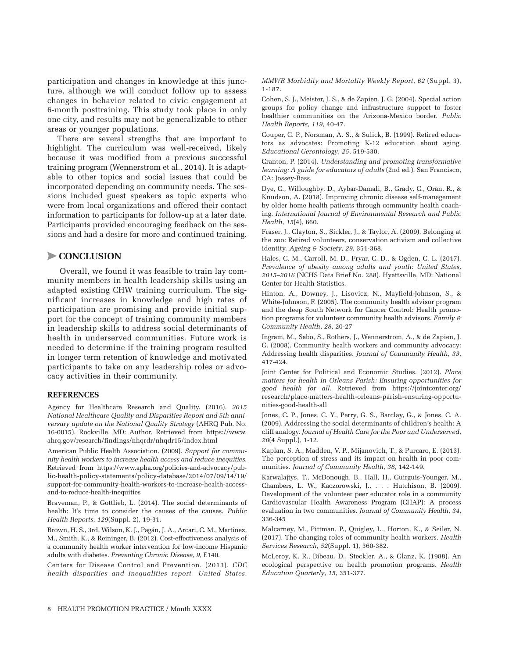participation and changes in knowledge at this juncture, although we will conduct follow up to assess changes in behavior related to civic engagement at 6-month posttraining. This study took place in only one city, and results may not be generalizable to other areas or younger populations.

There are several strengths that are important to highlight. The curriculum was well-received, likely because it was modified from a previous successful training program (Wennerstrom et al., 2014). It is adaptable to other topics and social issues that could be incorporated depending on community needs. The sessions included guest speakers as topic experts who were from local organizations and offered their contact information to participants for follow-up at a later date. Participants provided encouraging feedback on the sessions and had a desire for more and continued training.

## >**CONCLUSION**

Overall, we found it was feasible to train lay community members in health leadership skills using an adapted existing CHW training curriculum. The significant increases in knowledge and high rates of participation are promising and provide initial support for the concept of training community members in leadership skills to address social determinants of health in underserved communities. Future work is needed to determine if the training program resulted in longer term retention of knowledge and motivated participants to take on any leadership roles or advocacy activities in their community.

#### **REFERENCES**

Agency for Healthcare Research and Quality. (2016). *2015 National Healthcare Quality and Disparities Report and 5th anniversary update on the National Quality Strategy* (AHRQ Pub. No. 16-0015). Rockville, MD: Author. Retrieved from https://www. ahrq.gov/research/findings/nhqrdr/nhqdr15/index.html

American Public Health Association. (2009). *Support for community health workers to increase health access and reduce inequities*. Retrieved from https://www.apha.org/policies-and-advocacy/public-health-policy-statements/policy-database/2014/07/09/14/19/ support-for-community-health-workers-to-increase-health-accessand-to-reduce-health-inequities

Braveman, P., & Gottlieb, L. (2014). The social determinants of health: It's time to consider the causes of the causes. *Public Health Reports*, *129*(Suppl. 2), 19-31.

Brown, H. S., 3rd, Wilson, K. J., Pagán, J. A., Arcari, C. M., Martinez, M., Smith, K., & Reininger, B. (2012). Cost-effectiveness analysis of a community health worker intervention for low-income Hispanic adults with diabetes. *Preventing Chronic Disease*, *9*, E140.

Centers for Disease Control and Prevention. (2013). *CDC health disparities and inequalities report—United States.*  *MMWR Morbidity and Mortality Weekly Report*, *62* (Suppl. 3), 1-187.

Cohen, S. J., Meister, J. S., & de Zapien, J. G. (2004). Special action groups for policy change and infrastructure support to foster healthier communities on the Arizona-Mexico border. *Public Health Reports*, *119*, 40-47.

Couper, C. P., Norsman, A. S., & Sulick, B. (1999). Retired educators as advocates: Promoting K-12 education about aging. *Educational Gerontology*, *25*, 519-530.

Cranton, P. (2014). *Understanding and promoting transformative learning: A guide for educators of adults* (2nd ed.). San Francisco, CA: Jossey-Bass.

Dye, C., Willoughby, D., Aybar-Damali, B., Grady, C., Oran, R., & Knudson, A. (2018). Improving chronic disease self-management by older home health patients through community health coaching. *International Journal of Environmental Research and Public Health*, *15*(4), 660.

Fraser, J., Clayton, S., Sickler, J., & Taylor, A. (2009). Belonging at the zoo: Retired volunteers, conservation activism and collective identity. *Ageing & Society*, *29*, 351-368.

Hales, C. M., Carroll, M. D., Fryar, C. D., & Ogden, C. L. (2017). *Prevalence of obesity among adults and youth: United States, 2015–2016* (NCHS Data Brief No. 288). Hyattsville, MD: National Center for Health Statistics.

Hinton, A., Downey, J., Lisovicz, N., Mayfield-Johnson, S., & White-Johnson, F. (2005). The community health advisor program and the deep South Network for Cancer Control: Health promotion programs for volunteer community health advisors. *Family & Community Health*, *28*, 20-27

Ingram, M., Sabo, S., Rothers, J., Wennerstrom, A., & de Zapien, J. G. (2008). Community health workers and community advocacy: Addressing health disparities. *Journal of Community Health*, *33*, 417-424.

Joint Center for Political and Economic Studies. (2012). *Place matters for health in Orleans Parish: Ensuring opportunities for good health for all*. Retrieved from https://jointcenter.org/ research/place-matters-health-orleans-parish-ensuring-opportunities-good-health-all

Jones, C. P., Jones, C. Y., Perry, G. S., Barclay, G., & Jones, C. A. (2009). Addressing the social determinants of children's health: A cliff analogy. *Journal of Health Care for the Poor and Underserved*, *20*(4 Suppl.), 1-12.

Kaplan, S. A., Madden, V. P., Mijanovich, T., & Purcaro, E. (2013). The perception of stress and its impact on health in poor communities. *Journal of Community Health*, *38*, 142-149.

Karwalajtys, T., McDonough, B., Hall, H., Guirguis-Younger, M., Chambers, L. W., Kaczorowski, J., . . . Hutchison, B. (2009). Development of the volunteer peer educator role in a community Cardiovascular Health Awareness Program (CHAP): A process evaluation in two communities. *Journal of Community Health*, *34*, 336-345

Malcarney, M., Pittman, P., Quigley, L., Horton, K., & Seiler, N. (2017). The changing roles of community health workers. *Health Services Research*, *52*(Suppl. 1), 360-382.

McLeroy, K. R., Bibeau, D., Steckler, A., & Glanz, K. (1988). An ecological perspective on health promotion programs. *Health Education Quarterly*, *15*, 351-377.